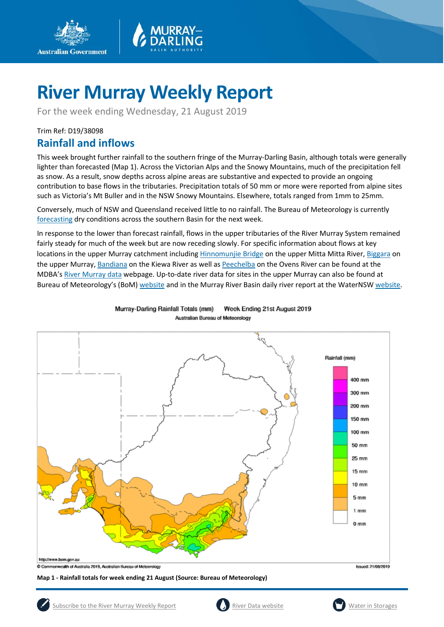

For the week ending Wednesday, 21 August 2019

### Trim Ref: D19/38098

**Australian Government** 

### **Rainfall and inflows**

This week brought further rainfall to the southern fringe of the Murray-Darling Basin, although totals were generally lighter than forecasted (Map 1). Across the Victorian Alps and the Snowy Mountains, much of the precipitation fell as snow. As a result, snow depths across alpine areas are substantive and expected to provide an ongoing contribution to base flows in the tributaries. Precipitation totals of 50 mm or more were reported from alpine sites such as Victoria's Mt Buller and in the NSW Snowy Mountains. Elsewhere, totals ranged from 1mm to 25mm.

Conversely, much of NSW and Queensland received little to no rainfall. The Bureau of Meteorology is currently [forecastin](http://www.bom.gov.au/jsp/watl/rainfall/pme.jsp)g dry conditions across the southern Basin for the next week.

In response to the lower than forecast rainfall, flows in the upper tributaries of the River Murray System remained fairly steady for much of the week but are now receding slowly. For specific information about flows at key locations in the upper Murray catchment includin[g Hinnomunjie Bridge](https://riverdata.mdba.gov.au/hinnomunjie) on the upper Mitta Mitta River, [Biggara](https://riverdata.mdba.gov.au/biggara) on the upper Murray[, Bandiana](https://riverdata.mdba.gov.au/bandiana) on the Kiewa River as well as [Peechelba](https://riverdata.mdba.gov.au/peechelba) on the Ovens River can be found at the MDBA's [River Murray data](https://riverdata.mdba.gov.au/system-view) webpage. Up-to-date river data for sites in the upper Murray can also be found at Bureau of Meteorology's (BoM) [website](http://www.bom.gov.au/cgi-bin/wrap_fwo.pl?IDV60151.html) and in the Murray River Basin daily river report at the WaterNS[W website.](https://realtimedata.waternsw.com.au/water.stm)



Murray-Darling Rainfall Totals (mm) Week Ending 21st August 2019 Australian Bureau of Meteorology

**Map 1 - Rainfall totals for week ending 21 August (Source: Bureau of Meteorology)**



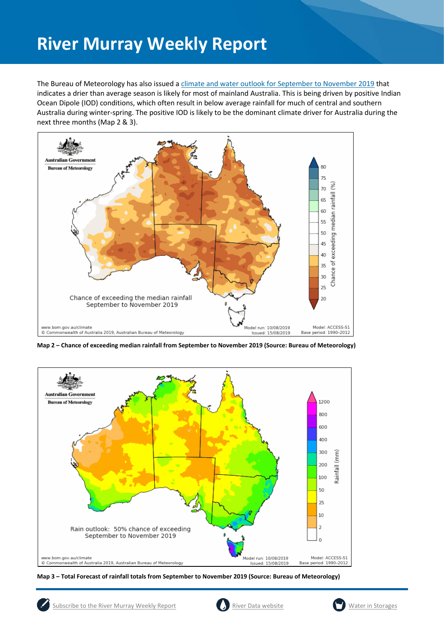The Bureau of Meteorology has also issued a [climate and water outlook for September to November 2019](http://www.bom.gov.au/climate/outlooks/#/overview/summary) that indicates a drier than average season is likely for most of mainland Australia. This is being driven by positive Indian Ocean Dipole (IOD) conditions, which often result in below average rainfall for much of central and southern Australia during winter-spring. The positive IOD is likely to be the dominant climate driver for Australia during the next three months (Map 2 & 3).



**Map 2 – Chance of exceeding median rainfall from September to November 2019 (Source: Bureau of Meteorology)**



**Map 3 – Total Forecast of rainfall totals from September to November 2019 (Source: Bureau of Meteorology)**

![](_page_1_Picture_8.jpeg)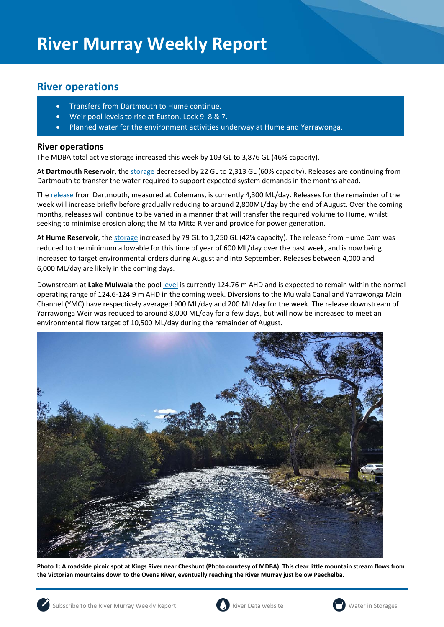### **River operations**

- Transfers from Dartmouth to Hume continue.
- Weir pool levels to rise at Euston, Lock 9, 8 & 7.
- Planned water for the environment activities underway at Hume and Yarrawonga.

### **River operations**

The MDBA total active storage increased this week by 103 GL to 3,876 GL (46% capacity).

At **Dartmouth Reservoir**, the [storage](https://riverdata.mdba.gov.au/dartmouth-dam) decreased by 22 GL to 2,313 GL (60% capacity). Releases are continuing from Dartmouth to transfer the water required to support expected system demands in the months ahead.

The [release](https://riverdata.mdba.gov.au/colemans) from Dartmouth, measured at Colemans, is currently 4,300 ML/day. Releases for the remainder of the week will increase briefly before gradually reducing to around 2,800ML/day by the end of August. Over the coming months, releases will continue to be varied in a manner that will transfer the required volume to Hume, whilst seeking to minimise erosion along the Mitta Mitta River and provide for power generation.

At **Hume Reservoir**, the storage increased by 79 GL to 1,250 GL (42% capacity). The release from Hume Dam was reduced to the minimum allowable for this time of year of 600 ML/day over the past week, and is now being increased to target environmental orders during August and into September. Releases between 4,000 and 6,000 ML/day are likely in the coming days.

Downstream at **Lake Mulwala** the pool [level](https://riverdata.mdba.gov.au/yarrawonga-weir-upstream) is currently 124.76 m AHD and is expected to remain within the normal operating range of 124.6-124.9 m AHD in the coming week. Diversions to the Mulwala Canal and Yarrawonga Main Channel (YMC) have respectively averaged 900 ML/day and 200 ML/day for the week. The release downstream of Yarrawonga Weir was reduced to around 8,000 ML/day for a few days, but will now be increased to meet an environmental flow target of 10,500 ML/day during the remainder of August.

![](_page_2_Picture_11.jpeg)

**Photo 1: A roadside picnic spot at Kings River near Cheshunt (Photo courtesy of MDBA). This clear little mountain stream flows from the Victorian mountains down to the Ovens River, eventually reaching the River Murray just below Peechelba.** 

![](_page_2_Picture_13.jpeg)

![](_page_2_Picture_14.jpeg)

![](_page_2_Picture_16.jpeg)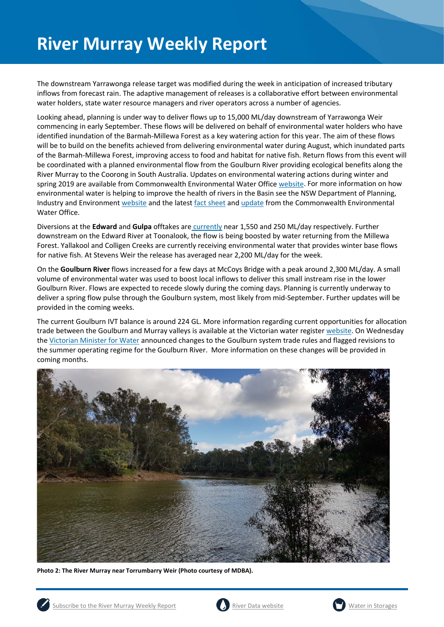The downstream Yarrawonga release target was modified during the week in anticipation of increased tributary inflows from forecast rain. The adaptive management of releases is a collaborative effort between environmental water holders, state water resource managers and river operators across a number of agencies.

Looking ahead, planning is under way to deliver flows up to 15,000 ML/day downstream of Yarrawonga Weir commencing in early September. These flows will be delivered on behalf of environmental water holders who have identified inundation of the Barmah-Millewa Forest as a key watering action for this year. The aim of these flows will be to build on the benefits achieved from delivering environmental water during August, which inundated parts of the Barmah-Millewa Forest, improving access to food and habitat for native fish. Return flows from this event will be coordinated with a planned environmental flow from the Goulburn River providing ecological benefits along the River Murray to the Coorong in South Australia. Updates on environmental watering actions during winter and spring 2019 are available from Commonwealth Environmental Water Office [website.](https://www.environment.gov.au/water/cewo/media-release/southern-spring-flow-throws-lifeline-river-murray) For more information on how environmental water is helping to improve the health of rivers in the Basin see the NSW Department of Planning, Industry and Environment [website](https://www.environment.nsw.gov.au/topics/water/water-for-the-environment/about-water-for-the-environment/what-is-it) and the lates[t fact sheet](http://www.environment.gov.au/water/cewo/publications/southern-spring-flow-2019-fact-sheet) an[d update](https://www.environment.gov.au/water/cewo/publications/southern-spring-flow-2019-update-1) from the Commonwealth Environmental Water Office.

Diversions at the **Edward** and **Gulpa** offtakes are [currently](https://riverdata.mdba.gov.au/system-view) near 1,550 and 250 ML/day respectively. Further downstream on the Edward River at Toonalook, the flow is being boosted by water returning from the Millewa Forest. Yallakool and Colligen Creeks are currently receiving environmental water that provides winter base flows for native fish. At Stevens Weir the release has averaged near 2,200 ML/day for the week.

On the **Goulburn River** flows increased for a few days at McCoys Bridge with a peak around 2,300 ML/day. A small volume of environmental water was used to boost local inflows to deliver this small instream rise in the lower Goulburn River. Flows are expected to recede slowly during the coming days. Planning is currently underway to deliver a spring flow pulse through the Goulburn system, most likely from mid-September. Further updates will be provided in the coming weeks.

The current Goulburn IVT balance is around 224 GL. More information regarding current opportunities for allocation trade between the Goulburn and Murray valleys is available at the Victorian water registe[r website.](http://waterregister.vic.gov.au/water-trading/allocation-trading#AllocationTradeOpportunities) On Wednesday the [Victorian Minister for Water](http://waterregister.vic.gov.au/about/news/274-changes-to-goulburn-system-trade-and-operational-arrangements?utm_source=Water+Register+News&utm_campaign=89aac4247f-RSS_EMAIL_CAMPAIGN&utm_medium=email&utm_term=0_350d40fa1e-89aac4247f-78577717) announced changes to the Goulburn system trade rules and flagged revisions to the summer operating regime for the Goulburn River. More information on these changes will be provided in coming months.

![](_page_3_Picture_6.jpeg)

**Photo 2: The River Murray near Torrumbarry Weir (Photo courtesy of MDBA).**

![](_page_3_Picture_8.jpeg)

![](_page_3_Picture_10.jpeg)

![](_page_3_Picture_12.jpeg)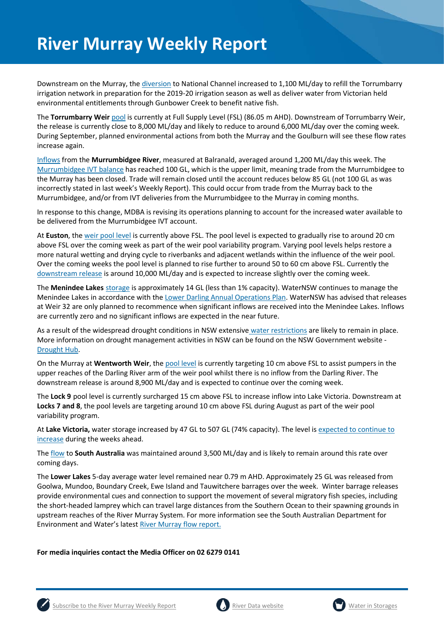Downstream on the Murray, the [diversion](https://riverdata.mdba.gov.au/national-channel-ds-torrumbarry-headworks) to National Channel increased to 1,100 ML/day to refill the Torrumbarry irrigation network in preparation for the 2019-20 irrigation season as well as deliver water from Victorian held environmental entitlements through Gunbower Creek to benefit native fish.

The **Torrumbarry Weir** [pool](https://riverdata.mdba.gov.au/torrumbarry-weir-lock-26) is currently at Full Supply Level (FSL) (86.05 m AHD). Downstream of Torrumbarry Weir, the release is currently close to 8,000 ML/day and likely to reduce to around 6,000 ML/day over the coming week. During September, planned environmental actions from both the Murray and the Goulburn will see these flow rates increase again.

[Inflows](https://riverdata.mdba.gov.au/balranald-weir-downstream) from the **Murrumbidgee River**, measured at Balranald, averaged around 1,200 ML/day this week. The [Murrumbidgee IVT balance](https://www.waternsw.com.au/customer-service/ordering-trading-and-pricing/trading/murrumbidgee) has reached 100 GL, which is the upper limit, meaning trade from the Murrumbidgee to the Murray has been closed. Trade will remain closed until the account reduces below 85 GL (not 100 GL as was incorrectly stated in last week's Weekly Report). This could occur from trade from the Murray back to the Murrumbidgee, and/or from IVT deliveries from the Murrumbidgee to the Murray in coming months.

In response to this change, MDBA is revising its operations planning to account for the increased water available to be delivered from the Murrumbidgee IVT account.

At **Euston**, the [weir pool level](https://riverdata.mdba.gov.au/euston-weir-upstream) is currently above FSL. The pool level is expected to gradually rise to around 20 cm above FSL over the coming week as part of the weir pool variability program. Varying pool levels helps restore a more natural wetting and drying cycle to riverbanks and adjacent wetlands within the influence of the weir pool. Over the coming weeks the pool level is planned to rise further to around 50 to 60 cm above FSL. Currently the [downstream release](https://riverdata.mdba.gov.au/euston-weir-downstream) is around 10,000 ML/day and is expected to increase slightly over the coming week.

The **Menindee Lakes** storage is approximately 14 GL (less than 1% capacity). WaterNSW continues to manage the Menindee Lakes in accordance with the [Lower Darling Annual Operations Plan.](https://www.waternsw.com.au/supply/regional-nsw/operations) WaterNSW has advised that releases at Weir 32 are only planned to recommence when significant inflows are received into the Menindee Lakes. Inflows are currently zero and no significant inflows are expected in the near future.

As a result of the widespread drought conditions in NSW extensive [water restrictions](https://www.waternsw.com.au/about/newsroom/2018/waternsw-confirms-restrictions-for-lower-darling-customers) are likely to remain in place. More information on drought management activities in NSW can be found on the NSW Government website - [Drought Hub.](https://www.dpi.nsw.gov.au/climate-and-emergencies/droughthub)

On the Murray at **Wentworth Weir**, th[e pool level](https://riverdata.mdba.gov.au/wentworth-weir-lock-10) is currently targeting 10 cm above FSL to assist pumpers in the upper reaches of the Darling River arm of the weir pool whilst there is no inflow from the Darling River. The downstream release is around 8,900 ML/day and is expected to continue over the coming week.

The **Lock 9** pool level is currently surcharged 15 cm above FSL to increase inflow into Lake Victoria. Downstream at **Locks 7 and 8**, the pool levels are targeting around 10 cm above FSL during August as part of the weir pool variability program.

At **Lake Victoria,** water storage increased by 47 GL to 507 GL (74% capacity). The level is [expected to continue to](https://riverdata.mdba.gov.au/lake-victoria)  [increase](https://riverdata.mdba.gov.au/lake-victoria) during the weeks ahead.

The [flow](https://riverdata.mdba.gov.au/flow-south-australia-calculated) to **South Australia** was maintained around 3,500 ML/day and is likely to remain around this rate over coming days.

The **Lower Lakes** 5-day average water level remained near 0.79 m AHD. Approximately 25 GL was released from Goolwa, Mundoo, Boundary Creek, Ewe Island and Tauwitchere barrages over the week. Winter barrage releases provide environmental cues and connection to support the movement of several migratory fish species, including the short-headed lamprey which can travel large distances from the Southern Ocean to their spawning grounds in upstream reaches of the River Murray System. For more information see the South Australian Department for Environment and Water's lates[t River Murray flow report.](https://www.waterconnect.sa.gov.au/River-Murray/SitePages/2019%20Flow%20Reports.aspx)

**For media inquiries contact the Media Officer on 02 6279 0141**

![](_page_4_Picture_14.jpeg)

![](_page_4_Picture_16.jpeg)

![](_page_4_Picture_18.jpeg)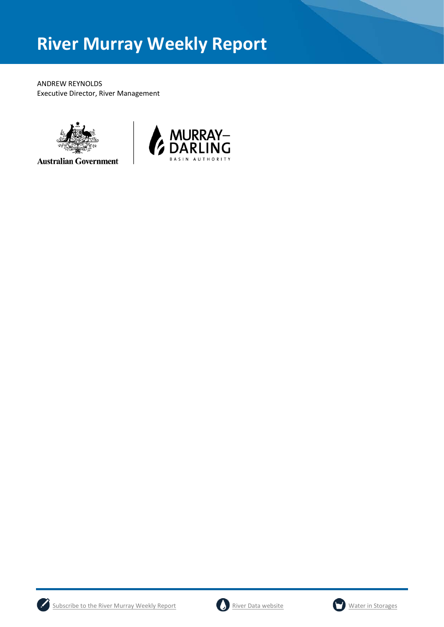ANDREW REYNOLDS Executive Director, River Management

![](_page_5_Picture_2.jpeg)

**Australian Government** 

![](_page_5_Picture_4.jpeg)

![](_page_5_Picture_5.jpeg)

![](_page_5_Picture_7.jpeg)

![](_page_5_Picture_9.jpeg)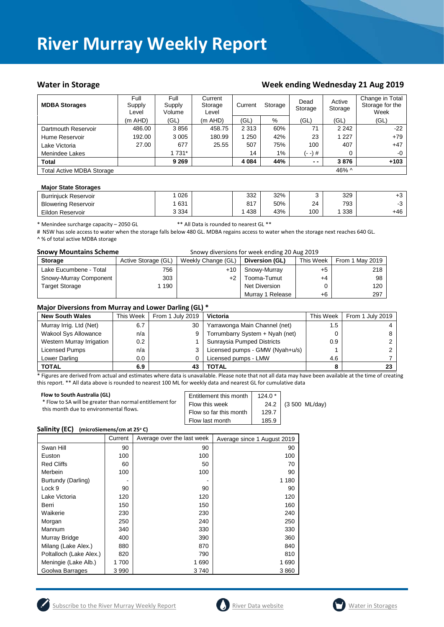#### Water in Storage Water in Storage Week ending Wednesday 21 Aug 2019

| <b>MDBA Storages</b>             | Full<br>Supply<br>Level | Full<br>Supply<br>Volume | Current<br>Storage<br>Level | Current<br>Storage |       | Dead<br>Storage | Active<br>Storage | Change in Total<br>Storage for the<br>Week |
|----------------------------------|-------------------------|--------------------------|-----------------------------|--------------------|-------|-----------------|-------------------|--------------------------------------------|
|                                  | $(m$ AHD $)$            | (GL)                     | (m AHD)                     | (GL)               | %     | (GL)            | (GL)              | (GL)                                       |
| Dartmouth Reservoir              | 486.00                  | 3856                     | 458.75                      | 2 3 1 3            | 60%   | 71              | 2 2 4 2           | $-22$                                      |
| Hume Reservoir                   | 192.00                  | 3 0 0 5                  | 180.99                      | 250                | 42%   | 23              | 1 2 2 7           | $+79$                                      |
| Lake Victoria                    | 27.00                   | 677                      | 25.55                       | 507                | 75%   | 100             | 407               | $+47$                                      |
| Menindee Lakes                   |                         | 1 731*                   |                             | 14                 | $1\%$ | (- -) #         | 0                 | $-0$                                       |
| <b>Total</b>                     |                         | 9 2 6 9                  |                             | 4 0 8 4            | 44%   | $ -$            | 3876              | $+103$                                     |
| <b>Total Active MDBA Storage</b> |                         |                          |                             |                    |       |                 | 46% $\land$       |                                            |

#### **Major State Storages**

| <b>Burrinjuck Reservoir</b> | 026     | 332        | 32% |     | 329 | 10    |
|-----------------------------|---------|------------|-----|-----|-----|-------|
| <b>Blowering Reservoir</b>  | 631     | 047<br>017 | 50% | 24  | 793 |       |
| Eildon Reservoir            | 3 3 3 4 | 438        | 43% | 100 | 338 | $+46$ |

\* Menindee surcharge capacity – 2050 GL \*\* All Data is rounded to nearest GL \*\*

# NSW has sole access to water when the storage falls below 480 GL. MDBA regains access to water when the storage next reaches 640 GL. ^ % of total active MDBA storage

| <b>Snowy Mountains Scheme</b> |                     | Snowy diversions for week ending 20 Aug 2019 |                  |           |                 |
|-------------------------------|---------------------|----------------------------------------------|------------------|-----------|-----------------|
| <b>Storage</b>                | Active Storage (GL) | Weekly Change (GL)                           | Diversion (GL)   | This Week | From 1 May 2019 |
| Lake Eucumbene - Total        | 756                 | $+10$                                        | Snowy-Murray     | $+5$      | 218             |
| Snowy-Murray Component        | 303                 | $+2$                                         | Tooma-Tumut      | $+4$      | 98              |
| <b>Target Storage</b>         | 1 190               |                                              | Net Diversion    |           | 120             |
|                               |                     |                                              | Murray 1 Release | +6        | 297             |

#### **Major Diversions from Murray and Lower Darling (GL) \***

| <b>New South Wales</b>      | This Week | From 1 July 2019 | <b>Victoria</b>                 | This Week        | From 1 July 2019 |
|-----------------------------|-----------|------------------|---------------------------------|------------------|------------------|
| Murray Irrig. Ltd (Net)     | 6.7       | 30               | Yarrawonga Main Channel (net)   | 1.5              |                  |
| <b>Wakool Sys Allowance</b> | n/a       |                  | Torrumbarry System + Nyah (net) | 0                |                  |
| Western Murray Irrigation   | 0.2       |                  | Sunraysia Pumped Districts      | 0.9 <sup>°</sup> |                  |
| Licensed Pumps              | n/a       |                  | Licensed pumps - GMW (Nyah+u/s) |                  |                  |
| Lower Darling               | $0.0\,$   |                  | Licensed pumps - LMW            | 4.6              |                  |
| <b>TOTAL</b>                | 6.9       |                  | TOTAL                           |                  | 23               |

\* Figures are derived from actual and estimates where data is unavailable. Please note that not all data may have been available at the time of creating this report. \*\* All data above is rounded to nearest 100 ML for weekly data and nearest GL for cumulative data

| Flow to South Australia (GL)                             | Entitlement this month | $124.0*$ |                     |
|----------------------------------------------------------|------------------------|----------|---------------------|
| * Flow to SA will be greater than normal entitlement for | Flow this week         |          | 24.2 (3 500 ML/day) |
| this month due to environmental flows.                   | Flow so far this month | 129.7    |                     |
|                                                          | Flow last month        | 185.9    |                     |

#### **Salinity (EC)** (microSiemens/cm at 25°C)

|                         | Current | Average over the last week | Average since 1 August 2019 |
|-------------------------|---------|----------------------------|-----------------------------|
| Swan Hill               | 90      | 90                         | 90                          |
| Euston                  | 100     | 100                        | 100                         |
| <b>Red Cliffs</b>       | 60      | 50                         | 70                          |
| Merbein                 | 100     | 100                        | 90                          |
| Burtundy (Darling)      |         |                            | 1 1 8 0                     |
| Lock 9                  | 90      | 90                         | 90                          |
| Lake Victoria           | 120     | 120                        | 120                         |
| Berri                   | 150     | 150                        | 160                         |
| Waikerie                | 230     | 230                        | 240                         |
| Morgan                  | 250     | 240                        | 250                         |
| Mannum                  | 340     | 330                        | 330                         |
| Murray Bridge           | 400     | 390                        | 360                         |
| Milang (Lake Alex.)     | 880     | 870                        | 840                         |
| Poltalloch (Lake Alex.) | 820     | 790                        | 810                         |
| Meningie (Lake Alb.)    | 1700    | 1690                       | 1690                        |
| Goolwa Barrages         | 3 9 9 0 | 3740                       | 3860                        |

![](_page_6_Picture_15.jpeg)

![](_page_6_Picture_17.jpeg)

![](_page_6_Picture_19.jpeg)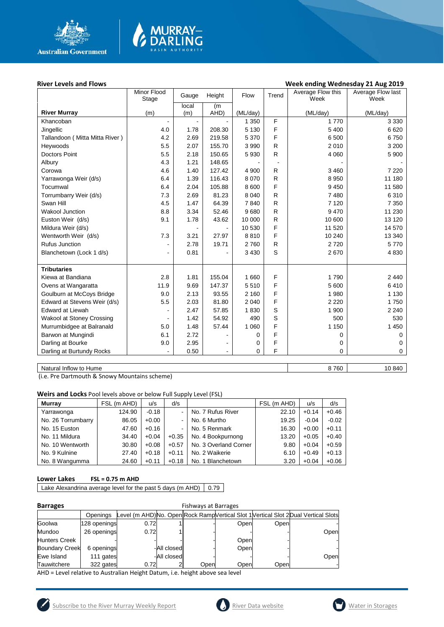![](_page_7_Picture_0.jpeg)

### **River Levels and Flows Week ending Wednesday 21 Aug 2019**

|                                | Minor Flood<br>Stage | Gauge          | Height         | Flow     | Trend        | Average Flow this<br>Week | Average Flow last<br>Week |
|--------------------------------|----------------------|----------------|----------------|----------|--------------|---------------------------|---------------------------|
|                                |                      | local          | (m             |          |              |                           |                           |
| <b>River Murray</b>            | (m)                  | (m)            | AHD)           | (ML/day) |              | (ML/day)                  | (ML/day)                  |
| Khancoban                      |                      | $\blacksquare$ |                | 1 3 5 0  | F            | 1770                      | 3 3 3 0                   |
| Jingellic                      | 4.0                  | 1.78           | 208.30         | 5 1 3 0  | F            | 5 400                     | 6620                      |
| Tallandoon (Mitta Mitta River) | 4.2                  | 2.69           | 219.58         | 5 3 7 0  | F            | 6 500                     | 6750                      |
| Heywoods                       | 5.5                  | 2.07           | 155.70         | 3 9 9 0  | R            | 2010                      | 3 2 0 0                   |
| <b>Doctors Point</b>           | 5.5                  | 2.18           | 150.65         | 5 9 3 0  | R            | 4 0 6 0                   | 5 900                     |
| Albury                         | 4.3                  | 1.21           | 148.65         |          |              |                           |                           |
| Corowa                         | 4.6                  | 1.40           | 127.42         | 4 9 0 0  | R            | 3 4 6 0                   | 7 2 2 0                   |
| Yarrawonga Weir (d/s)          | 6.4                  | 1.39           | 116.43         | 8 0 7 0  | R            | 8 9 5 0                   | 11 180                    |
| Tocumwal                       | 6.4                  | 2.04           | 105.88         | 8 600    | F            | 9450                      | 11 580                    |
| Torrumbarry Weir (d/s)         | 7.3                  | 2.69           | 81.23          | 8 0 4 0  | R            | 7480                      | 6310                      |
| Swan Hill                      | 4.5                  | 1.47           | 64.39          | 7840     | $\mathsf{R}$ | 7 1 2 0                   | 7 3 5 0                   |
| <b>Wakool Junction</b>         | 8.8                  | 3.34           | 52.46          | 9680     | $\mathsf{R}$ | 9470                      | 11 230                    |
| Euston Weir (d/s)              | 9.1                  | 1.78           | 43.62          | 10 000   | R            | 10 600                    | 13 1 20                   |
| Mildura Weir (d/s)             |                      |                |                | 10 530   | F            | 11 520                    | 14 570                    |
| Wentworth Weir (d/s)           | 7.3                  | 3.21           | 27.97          | 8810     | F            | 10 240                    | 13 340                    |
| Rufus Junction                 |                      | 2.78           | 19.71          | 2760     | $\mathsf{R}$ | 2720                      | 5770                      |
| Blanchetown (Lock 1 d/s)       | $\blacksquare$       | 0.81           |                | 3 4 3 0  | S            | 2670                      | 4 8 3 0                   |
|                                |                      |                |                |          |              |                           |                           |
| <b>Tributaries</b>             |                      |                |                |          |              |                           |                           |
| Kiewa at Bandiana              | 2.8                  | 1.81           | 155.04         | 1 660    | F            | 1790                      | 2 4 4 0                   |
| Ovens at Wangaratta            | 11.9                 | 9.69           | 147.37         | 5510     | F            | 5 600                     | 6410                      |
| Goulburn at McCoys Bridge      | 9.0                  | 2.13           | 93.55          | 2 1 6 0  | F            | 1 980                     | 1 1 3 0                   |
| Edward at Stevens Weir (d/s)   | 5.5                  | 2.03           | 81.80          | 2 0 4 0  | F            | 2 2 2 0                   | 1750                      |
| <b>Edward at Liewah</b>        | $\blacksquare$       | 2.47           | 57.85          | 1830     | S            | 1 900                     | 2 2 4 0                   |
| Wakool at Stoney Crossing      |                      | 1.42           | 54.92          | 490      | S            | 500                       | 530                       |
| Murrumbidgee at Balranald      | 5.0                  | 1.48           | 57.44          | 1 0 6 0  | F            | 1 1 5 0                   | 1 4 5 0                   |
| Barwon at Mungindi             | 6.1                  | 2.72           |                | 0        | F            | 0                         | 0                         |
| Darling at Bourke              | 9.0                  | 2.95           |                | 0        | F            | 0                         | 0                         |
| Darling at Burtundy Rocks      |                      | 0.50           | $\blacksquare$ | 0        | F            | 0                         | $\mathbf 0$               |
|                                |                      |                |                |          |              |                           |                           |

MURRAY<mark>–</mark><br>DARLING

Natural Inflow to Hume 8 760 10 840

(i.e. Pre Dartmouth & Snowy Mountains scheme)

**Weirs and Locks** Pool levels above or below Full Supply Level (FSL)

| <b>Murrav</b>      | FSL (m AHD) | u/s     | d/s     |                       | FSL (m AHD) | u/s     | d/s     |
|--------------------|-------------|---------|---------|-----------------------|-------------|---------|---------|
| Yarrawonga         | 124.90      | $-0.18$ |         | No. 7 Rufus River     | 22.10       | $+0.14$ | $+0.46$ |
| No. 26 Torrumbarry | 86.05       | $+0.00$ | ۰.      | No. 6 Murtho          | 19.25       | $-0.04$ | $-0.02$ |
| No. 15 Euston      | 47.60       | $+0.16$ |         | No. 5 Renmark         | 16.30       | $+0.00$ | $+0.11$ |
| No. 11 Mildura     | 34.40       | $+0.04$ | $+0.35$ | No. 4 Bookpurnong     | 13.20       | $+0.05$ | $+0.40$ |
| No. 10 Wentworth   | 30.80       | $+0.08$ | $+0.57$ | No. 3 Overland Corner | 9.80        | $+0.04$ | $+0.59$ |
| No. 9 Kulnine      | 27.40       | $+0.18$ | $+0.11$ | No. 2 Waikerie        | 6.10        | $+0.49$ | $+0.13$ |
| No. 8 Wangumma     | 24.60       | $+0.11$ | $+0.18$ | No. 1 Blanchetown     | 3.20        | $+0.04$ | $+0.06$ |

#### **Lower Lakes FSL = 0.75 m AHD**

Lake Alexandrina average level for the past 5 days (m AHD)  $\Big| 0.79$ 

| <b>Barrages</b>       |              | <b>Fishways at Barrages</b> |             |      |      |      |                                                                                     |  |  |  |
|-----------------------|--------------|-----------------------------|-------------|------|------|------|-------------------------------------------------------------------------------------|--|--|--|
|                       | Openings     |                             |             |      |      |      | Level (m AHD)No. Open Rock Ramp Vertical Slot 1 Vertical Slot 2 Dual Vertical Slots |  |  |  |
| Goolwa                | 128 openings | 0.72                        |             |      | Open | Open |                                                                                     |  |  |  |
| Mundoo                | 26 openings  | 0.72                        |             |      |      |      | Open                                                                                |  |  |  |
| <b>Hunters Creek</b>  |              |                             |             |      | Open |      |                                                                                     |  |  |  |
| <b>Boundary Creek</b> | 6 openings   |                             | -All closed |      | Open |      |                                                                                     |  |  |  |
| Ewe Island            | 111 gates    |                             | -All closed |      |      |      | Open                                                                                |  |  |  |
| Tauwitchere           | 322 gates    | 0.72                        |             | Open | Open | Open |                                                                                     |  |  |  |

AHD = Level relative to Australian Height Datum, i.e. height above sea level

![](_page_7_Picture_12.jpeg)

![](_page_7_Picture_14.jpeg)